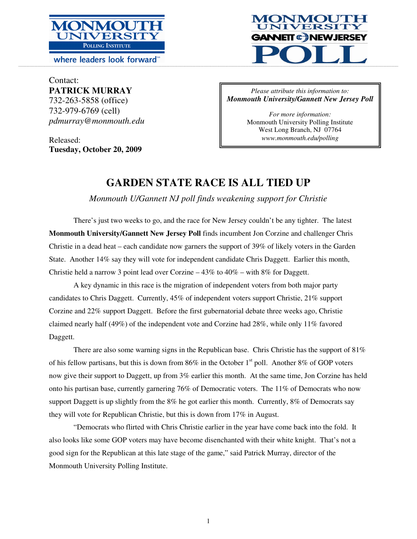

where leaders look forward



Contact: **PATRICK MURRAY**  732-263-5858 (office) 732-979-6769 (cell) *pdmurray@monmouth.edu* 

Released: **Tuesday, October 20, 2009** 

### *Please attribute this information to: Monmouth University/Gannett New Jersey Poll*

*For more information:*  Monmouth University Polling Institute West Long Branch, NJ 07764 *www.monmouth.edu/polling* 

# **GARDEN STATE RACE IS ALL TIED UP**

*Monmouth U/Gannett NJ poll finds weakening support for Christie* 

There's just two weeks to go, and the race for New Jersey couldn't be any tighter. The latest **Monmouth University/Gannett New Jersey Poll** finds incumbent Jon Corzine and challenger Chris Christie in a dead heat – each candidate now garners the support of 39% of likely voters in the Garden State. Another 14% say they will vote for independent candidate Chris Daggett. Earlier this month, Christie held a narrow 3 point lead over Corzine  $-43\%$  to  $40\%$  – with 8% for Daggett.

 A key dynamic in this race is the migration of independent voters from both major party candidates to Chris Daggett. Currently, 45% of independent voters support Christie, 21% support Corzine and 22% support Daggett. Before the first gubernatorial debate three weeks ago, Christie claimed nearly half (49%) of the independent vote and Corzine had 28%, while only 11% favored Daggett.

There are also some warning signs in the Republican base. Chris Christie has the support of 81% of his fellow partisans, but this is down from  $86\%$  in the October 1<sup>st</sup> poll. Another  $8\%$  of GOP voters now give their support to Daggett, up from 3% earlier this month. At the same time, Jon Corzine has held onto his partisan base, currently garnering 76% of Democratic voters. The 11% of Democrats who now support Daggett is up slightly from the 8% he got earlier this month. Currently, 8% of Democrats say they will vote for Republican Christie, but this is down from 17% in August.

 "Democrats who flirted with Chris Christie earlier in the year have come back into the fold. It also looks like some GOP voters may have become disenchanted with their white knight. That's not a good sign for the Republican at this late stage of the game," said Patrick Murray, director of the Monmouth University Polling Institute.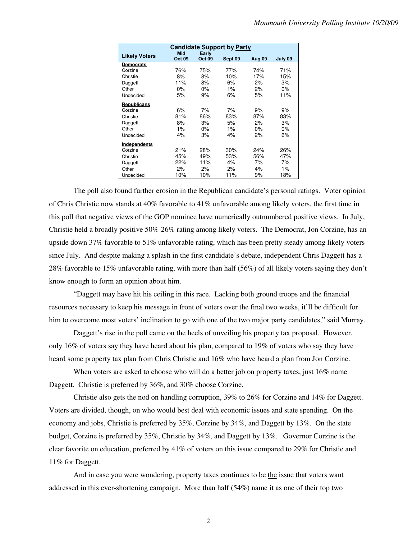|                      |                      |                        | <b>Candidate Support by Party</b> |               |         |
|----------------------|----------------------|------------------------|-----------------------------------|---------------|---------|
| <b>Likely Voters</b> | Mid<br><b>Oct 09</b> | Early<br><b>Oct 09</b> | Sept 09                           | <b>Aug 09</b> | July 09 |
| <b>Democrats</b>     |                      |                        |                                   |               |         |
| Corzine              | 76%                  | 75%                    | 77%                               | 74%           | 71%     |
| Christie             | 8%                   | 8%                     | 10%                               | 17%           | 15%     |
| Daggett              | 11%                  | 8%                     | 6%                                | 2%            | 3%      |
| Other                | 0%                   | 0%                     | 1%                                | 2%            | 0%      |
| Undecided            | 5%                   | 9%                     | 6%                                | 5%            | 11%     |
| <b>Republicans</b>   |                      |                        |                                   |               |         |
| Corzine              | 6%                   | 7%                     | 7%                                | 9%            | 9%      |
| Christie             | 81%                  | 86%                    | 83%                               | 87%           | 83%     |
| Daggett              | 8%                   | 3%                     | 5%                                | 2%            | 3%      |
| Other                | 1%                   | $0\%$                  | $1\%$                             | $0\%$         | $0\%$   |
| Undecided            | 4%                   | 3%                     | 4%                                | 2%            | 6%      |
| Independents         |                      |                        |                                   |               |         |
| Corzine              | 21%                  | 28%                    | 30%                               | 24%           | 26%     |
| Christie             | 45%                  | 49%                    | 53%                               | 56%           | 47%     |
| Daggett              | 22%                  | 11%                    | 4%                                | 7%            | 7%      |
| Other                | 2%                   | 2%                     | 2%                                | 4%            | 1%      |
| Undecided            | 10%                  | 10%                    | 11%                               | 9%            | 18%     |

 The poll also found further erosion in the Republican candidate's personal ratings. Voter opinion of Chris Christie now stands at 40% favorable to 41% unfavorable among likely voters, the first time in this poll that negative views of the GOP nominee have numerically outnumbered positive views. In July, Christie held a broadly positive 50%-26% rating among likely voters. The Democrat, Jon Corzine, has an upside down 37% favorable to 51% unfavorable rating, which has been pretty steady among likely voters since July. And despite making a splash in the first candidate's debate, independent Chris Daggett has a 28% favorable to 15% unfavorable rating, with more than half (56%) of all likely voters saying they don't know enough to form an opinion about him.

 "Daggett may have hit his ceiling in this race. Lacking both ground troops and the financial resources necessary to keep his message in front of voters over the final two weeks, it'll be difficult for him to overcome most voters' inclination to go with one of the two major party candidates," said Murray.

 Daggett's rise in the poll came on the heels of unveiling his property tax proposal. However, only 16% of voters say they have heard about his plan, compared to 19% of voters who say they have heard some property tax plan from Chris Christie and 16% who have heard a plan from Jon Corzine.

When voters are asked to choose who will do a better job on property taxes, just 16% name Daggett. Christie is preferred by 36%, and 30% choose Corzine.

 Christie also gets the nod on handling corruption, 39% to 26% for Corzine and 14% for Daggett. Voters are divided, though, on who would best deal with economic issues and state spending. On the economy and jobs, Christie is preferred by 35%, Corzine by 34%, and Daggett by 13%. On the state budget, Corzine is preferred by 35%, Christie by 34%, and Daggett by 13%. Governor Corzine is the clear favorite on education, preferred by 41% of voters on this issue compared to 29% for Christie and 11% for Daggett.

 And in case you were wondering, property taxes continues to be the issue that voters want addressed in this ever-shortening campaign. More than half (54%) name it as one of their top two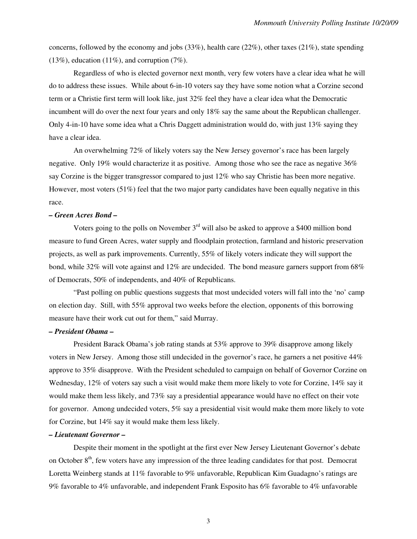concerns, followed by the economy and jobs (33%), health care (22%), other taxes (21%), state spending  $(13\%)$ , education  $(11\%)$ , and corruption  $(7\%)$ .

 Regardless of who is elected governor next month, very few voters have a clear idea what he will do to address these issues. While about 6-in-10 voters say they have some notion what a Corzine second term or a Christie first term will look like, just 32% feel they have a clear idea what the Democratic incumbent will do over the next four years and only 18% say the same about the Republican challenger. Only 4-in-10 have some idea what a Chris Daggett administration would do, with just 13% saying they have a clear idea.

An overwhelming 72% of likely voters say the New Jersey governor's race has been largely negative. Only 19% would characterize it as positive. Among those who see the race as negative 36% say Corzine is the bigger transgressor compared to just 12% who say Christie has been more negative. However, most voters (51%) feel that the two major party candidates have been equally negative in this race.

#### *– Green Acres Bond –*

Voters going to the polls on November  $3<sup>rd</sup>$  will also be asked to approve a \$400 million bond measure to fund Green Acres, water supply and floodplain protection, farmland and historic preservation projects, as well as park improvements. Currently, 55% of likely voters indicate they will support the bond, while 32% will vote against and 12% are undecided. The bond measure garners support from 68% of Democrats, 50% of independents, and 40% of Republicans.

 "Past polling on public questions suggests that most undecided voters will fall into the 'no' camp on election day. Still, with 55% approval two weeks before the election, opponents of this borrowing measure have their work cut out for them," said Murray.

#### *– President Obama –*

President Barack Obama's job rating stands at 53% approve to 39% disapprove among likely voters in New Jersey. Among those still undecided in the governor's race, he garners a net positive 44% approve to 35% disapprove. With the President scheduled to campaign on behalf of Governor Corzine on Wednesday, 12% of voters say such a visit would make them more likely to vote for Corzine, 14% say it would make them less likely, and 73% say a presidential appearance would have no effect on their vote for governor. Among undecided voters, 5% say a presidential visit would make them more likely to vote for Corzine, but 14% say it would make them less likely.

#### *– Lieutenant Governor –*

 Despite their moment in the spotlight at the first ever New Jersey Lieutenant Governor's debate on October 8<sup>th</sup>, few voters have any impression of the three leading candidates for that post. Democrat Loretta Weinberg stands at 11% favorable to 9% unfavorable, Republican Kim Guadagno's ratings are 9% favorable to 4% unfavorable, and independent Frank Esposito has 6% favorable to 4% unfavorable

3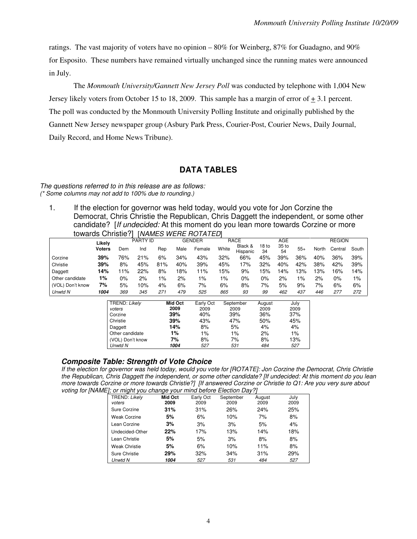ratings. The vast majority of voters have no opinion – 80% for Weinberg, 87% for Guadagno, and 90% for Esposito. These numbers have remained virtually unchanged since the running mates were announced in July.

 The *Monmouth University/Gannett New Jersey Poll* was conducted by telephone with 1,004 New Jersey likely voters from October 15 to 18, 2009. This sample has a margin of error of + 3.1 percent. The poll was conducted by the Monmouth University Polling Institute and originally published by the Gannett New Jersey newspaper group (Asbury Park Press, Courier-Post, Courier News, Daily Journal, Daily Record, and Home News Tribune).

# **DATA TABLES**

#### The questions referred to in this release are as follows: (\* Some columns may not add to 100% due to rounding.)

1. If the election for governor was held today, would you vote for Jon Corzine the Democrat, Chris Christie the Republican, Chris Daggett the independent, or some other candidate? [If undecided: At this moment do you lean more towards Corzine or more towards Christie?] [NAMES WERE ROTATED]

|                  | Likelv        |       | <b>PARTY ID</b> |       |      | <b>GENDER</b> |       | <b>RACE</b>         |             | <b>AGE</b>  |       |       | <b>REGION</b> |       |
|------------------|---------------|-------|-----------------|-------|------|---------------|-------|---------------------|-------------|-------------|-------|-------|---------------|-------|
|                  | <b>Voters</b> | Dem   | Ind             | Rep   | Male | Female        | White | Black &<br>Hispanic | 18 to<br>34 | 35 to<br>54 | $55+$ | North | Central       | South |
| Corzine          | 39%           | 76%   | 21%             | 6%    | 34%  | 43%           | 32%   | 66%                 | 45%         | 39%         | 36%   | 40%   | 36%           | 39%   |
| Christie         | 39%           | 8%    | 45%             | 81%   | 40%  | 39%           | 45%   | 17%                 | 32%         | 40%         | 42%   | 38%   | 42%           | 39%   |
| Daggett          | 14%           | $1\%$ | 22%             | 8%    | 18%  | 11%           | 15%   | 9%                  | 15%         | 14%         | 13%   | 3%    | 16%           | 14%   |
| Other candidate  | 1%            | 0%    | 2%              | $1\%$ | 2%   | 1%            | $1\%$ | 0%                  | 0%          | 2%          | $1\%$ | 2%    | 0%            | 1%    |
| (VOL) Don't know | 7%            | 5%    | 10%             | 4%    | 6%   | 7%            | 6%    | 8%                  | 7%          | 5%          | 9%    | 7%    | 6%            | 6%    |
| Unwtd N          | 1004          | 369   | 345             | 271   | 479  | 525           | 865   | 93                  | 99          | 462         | 437   | 446   | 277           | 272   |

| TREND: Likely    | Mid Oct | Early Oct | September | August | July  |
|------------------|---------|-----------|-----------|--------|-------|
| voters           | 2009    | 2009      | 2009      | 2009   | 2009  |
| Corzine          | 39%     | 40%       | 39%       | 36%    | 37%   |
| Christie         | 39%     | 43%       | 47%       | 50%    | 45%   |
| Daggett          | 14%     | 8%        | 5%        | 4%     | 4%    |
| Other candidate  | 1%      | $1\%$     | $1\%$     | 2%     | $1\%$ |
| (VOL) Don't know | 7%      | 8%        | 7%        | 8%     | 13%   |
| Unwtd N          | 1004    | 527       | 531       | 484    | 527   |

# **Composite Table: Strength of Vote Choice**

If the election for governor was held today, would you vote for [ROTATE]: Jon Corzine the Democrat, Chris Christie the Republican, Chris Daggett the independent, or some other candidate? [If undecided: At this moment do you lean more towards Corzine or more towards Christie?] [If answered Corzine or Christie to Q1: Are you very sure about voting for [NAME]; or might you change your mind before Election Day?]

| TREND: Likely<br>voters | <b>Mid Oct</b><br>2009 | Early Oct<br>2009 | September<br>2009 | August<br>2009 | July<br>2009 |
|-------------------------|------------------------|-------------------|-------------------|----------------|--------------|
| Sure Corzine            | 31%                    | 31%               | 26%               | 24%            | 25%          |
| <b>Weak Corzine</b>     | 5%                     | 6%                | 10%               | 7%             | 8%           |
| Lean Corzine            | 3%                     | 3%                | 3%                | 5%             | 4%           |
| Undecided-Other         | 22%                    | 17%               | 13%               | 14%            | 18%          |
| Lean Christie           | 5%                     | 5%                | 3%                | 8%             | 8%           |
| <b>Weak Christie</b>    | 5%                     | 6%                | 10%               | 11%            | 8%           |
| Sure Christie           | 29%                    | 32%               | 34%               | 31%            | 29%          |
| Unwtd N                 | 1004                   | 527               | 531               | 484            | 527          |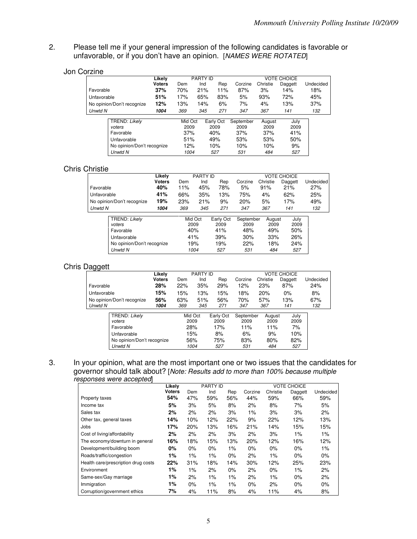2. Please tell me if your general impression of the following candidates is favorable or unfavorable, or if you don't have an opinion. [NAMES WERE ROTATED]

#### Jon Corzine

|                            | Likely        |         | <b>PARTY ID</b> |           |           |          | <b>VOTE CHOICE</b> |           |
|----------------------------|---------------|---------|-----------------|-----------|-----------|----------|--------------------|-----------|
|                            | <b>Voters</b> | Dem     | Ind             | Rep       | Corzine   | Christie | Daggett            | Undecided |
| Favorable                  | 37%           | 70%     | 21%             | 11%       | 87%       | 3%       | 14%                | 18%       |
| Unfavorable                | 51%           | 17%     | 65%             | 83%       | 5%        | 93%      | 72%                | 45%       |
| No opinion/Don't recognize | 12%           | 13%     | 14%             | 6%        | 7%        | 4%       | 13%                | 37%       |
| Unwtd N                    | 1004          | 369     | 345             | 271       | 347       | 367      | 141                | 132       |
|                            |               |         |                 |           |           |          |                    |           |
| TREND: Likely              |               | Mid Oct |                 | Early Oct | September | August   | July               |           |
| voters                     |               | 2009    |                 | 2009      | 2009      | 2009     | 2009               |           |
| Favorable                  |               | 37%     |                 | 40%       | 37%       | 37%      | 41%                |           |
| Unfavorable                |               | 51%     |                 | 49%       | 53%       | 53%      | 50%                |           |
| No opinion/Don't recognize |               | 12%     |                 | 10%       | 10%       | 10%      | 9%                 |           |
| Unwtd N                    |               | 1004    |                 | 527       | 531       | 484      | 527                |           |

## Chris Christie

|                            | Likelv | PARTY ID |     |     | <b>VOTE CHOICE</b> |          |         |           |  |
|----------------------------|--------|----------|-----|-----|--------------------|----------|---------|-----------|--|
|                            | Voters | Dem      | Ind | Rep | Corzine            | Christie | Daggett | Undecided |  |
| Favorable                  | 40%    | 11%      | 45% | 78% | 5%                 | 91%      | 21%     | 27%       |  |
| Unfavorable                | 41%    | 66%      | 35% | 13% | 75%                | 4%       | 62%     | 25%       |  |
| No opinion/Don't recognize | 19%    | 23%      | 21% | 9%  | 20%                | 5%       | 17%     | 49%       |  |
| Unwtd N                    | 1004   | 369      | 345 | 271 | 347                | 367      | 141     | 132       |  |
|                            |        |          |     |     |                    |          |         |           |  |

| TREND: Likely              | Mid Oct | Early Oct | September | August | July |
|----------------------------|---------|-----------|-----------|--------|------|
| voters                     | 2009    | 2009      | 2009      | 2009   | 2009 |
| Favorable                  | 40%     | 41%       | 48%       | 49%    | 50%  |
| Unfavorable                | 41%     | 39%       | 30%       | 33%    | 26%  |
| No opinion/Don't recognize | 19%     | 19%       | 22%       | 18%    | 24%  |
| Unwtd N                    | 1004    | 527       | 531       | 484    | 527  |

## Chris Daggett

| ັ                          | Likely |      | PARTY ID |           |           |          | <b>VOTE CHOICE</b> |           |
|----------------------------|--------|------|----------|-----------|-----------|----------|--------------------|-----------|
|                            | Voters | Dem  | Ind      | Rep       | Corzine   | Christie | Daggett            | Undecided |
| Favorable                  | 28%    | 22%  | 35%      | 29%       | 12%       | 23%      | 87%                | 24%       |
| Unfavorable                | 15%    | 15%  | 13%      | 15%       | 18%       | 20%      | 0%                 | 8%        |
| No opinion/Don't recognize | 56%    | 63%  | 51%      | 56%       | 70%       | 57%      | 13%                | 67%       |
| Unwtd N                    | 1004   | 369  | 345      | 271       | 347       | 367      | 141                | 132       |
|                            |        |      |          |           |           |          |                    |           |
| TREND: Likely              |        |      | Mid Oct  | Early Oct | September | August   | July               |           |
| voters                     |        | 2009 |          | 2009      | 2009      | 2009     | 2009               |           |
| Favorable                  |        |      | 28%      | 17%       | 11%       | 11%      | 7%                 |           |
| Unfavorable                |        |      | 15%      | 8%        | 6%        | 9%       | 10%                |           |
| No opinion/Don't recognize |        |      | 56%      | 75%       | 83%       | 80%      | 82%                |           |
| Unwtd N                    |        |      | 1004     | 527       | 531       | 484      | 527                |           |

#### 3. In your opinion, what are the most important one or two issues that the candidates for governor should talk about? [Note: Results add to more than 100% because multiple responses were accepted]

|                                     | Likelv        |       | <b>PARTY ID</b> |       |         |          | <b>VOTE CHOICE</b> |           |
|-------------------------------------|---------------|-------|-----------------|-------|---------|----------|--------------------|-----------|
|                                     | <b>Voters</b> | Dem   | Ind             | Rep   | Corzine | Christie | Daggett            | Undecided |
| Property taxes                      | 54%           | 47%   | 59%             | 56%   | 44%     | 59%      | 66%                | 59%       |
| Income tax                          | 5%            | 3%    | 5%              | 8%    | 2%      | 8%       | 7%                 | 5%        |
| Sales tax                           | 2%            | 2%    | 2%              | 3%    | 1%      | 3%       | 3%                 | 2%        |
| Other tax, general taxes            | 14%           | 10%   | 12%             | 22%   | 9%      | 22%      | 12%                | 13%       |
| Jobs                                | 17%           | 20%   | 13%             | 16%   | 21%     | 14%      | 15%                | 15%       |
| Cost of living/affordability        | 2%            | 2%    | 2%              | 3%    | 2%      | 3%       | 1%                 | 1%        |
| The economy/downturn in general     | 16%           | 18%   | 15%             | 13%   | 20%     | 12%      | 16%                | 12%       |
| Development/building boom           | $0\%$         | 0%    | 0%              | 1%    | 0%      | 0%       | 0%                 | 1%        |
| Roads/traffic/congestion            | 1%            | 1%    | 1%              | 0%    | 2%      | 1%       | 0%                 | 0%        |
| Health care/prescription drug costs | 22%           | 31%   | 18%             | 14%   | 30%     | 12%      | 25%                | 23%       |
| Environment                         | 1%            | $1\%$ | 2%              | 0%    | 2%      | 0%       | 1%                 | 2%        |
| Same-sex/Gay marriage               | 1%            | 2%    | 1%              | 1%    | 2%      | 1%       | 0%                 | 2%        |
| Immigration                         | 1%            | 0%    | 1%              | $1\%$ | 0%      | 2%       | 0%                 | 0%        |
| Corruption/government ethics        | 7%            | 4%    | 11%             | 8%    | 4%      | 11%      | 4%                 | 8%        |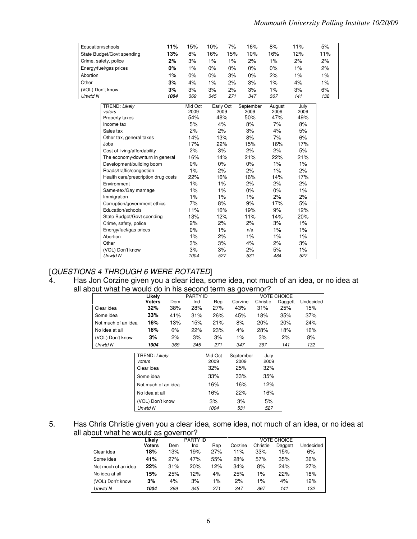| Education/schools                                                                                                                                                                                                                                                                                                                                                                                                                                                                                                                   | 11%  | 15%                                                                                                                                                          | 10%                                                                                                                                                           | 7%    | 16%                                                                                                                                                              | 8%                                                                                                                                                        | 11%                                                                                                                                                     | 5%  |
|-------------------------------------------------------------------------------------------------------------------------------------------------------------------------------------------------------------------------------------------------------------------------------------------------------------------------------------------------------------------------------------------------------------------------------------------------------------------------------------------------------------------------------------|------|--------------------------------------------------------------------------------------------------------------------------------------------------------------|---------------------------------------------------------------------------------------------------------------------------------------------------------------|-------|------------------------------------------------------------------------------------------------------------------------------------------------------------------|-----------------------------------------------------------------------------------------------------------------------------------------------------------|---------------------------------------------------------------------------------------------------------------------------------------------------------|-----|
| State Budget/Govt spending                                                                                                                                                                                                                                                                                                                                                                                                                                                                                                          | 13%  | 8%                                                                                                                                                           | 16%                                                                                                                                                           | 15%   | 10%                                                                                                                                                              | 16%                                                                                                                                                       | 12%                                                                                                                                                     | 11% |
| Crime, safety, police                                                                                                                                                                                                                                                                                                                                                                                                                                                                                                               | 2%   | 3%                                                                                                                                                           | 1%                                                                                                                                                            | $1\%$ | 2%                                                                                                                                                               | $1\%$                                                                                                                                                     | 2%                                                                                                                                                      | 2%  |
| Energy/fuel/gas prices                                                                                                                                                                                                                                                                                                                                                                                                                                                                                                              | 0%   | 1%                                                                                                                                                           | 0%                                                                                                                                                            | 0%    | 0%                                                                                                                                                               | 0%                                                                                                                                                        | 1%                                                                                                                                                      | 2%  |
| Abortion                                                                                                                                                                                                                                                                                                                                                                                                                                                                                                                            | 1%   | 0%                                                                                                                                                           | 0%                                                                                                                                                            | 3%    | 0%                                                                                                                                                               | 2%                                                                                                                                                        | 1%                                                                                                                                                      | 1%  |
| Other                                                                                                                                                                                                                                                                                                                                                                                                                                                                                                                               | 3%   | 4%                                                                                                                                                           | 1%                                                                                                                                                            | 2%    | 3%                                                                                                                                                               | 1%                                                                                                                                                        | 4%                                                                                                                                                      | 1%  |
| (VOL) Don't know                                                                                                                                                                                                                                                                                                                                                                                                                                                                                                                    | 3%   | 3%                                                                                                                                                           | 3%                                                                                                                                                            | 2%    | 3%                                                                                                                                                               | 1%                                                                                                                                                        | 3%                                                                                                                                                      | 6%  |
| Unwtd N                                                                                                                                                                                                                                                                                                                                                                                                                                                                                                                             | 1004 | 369                                                                                                                                                          | 345                                                                                                                                                           | 271   | 347                                                                                                                                                              | 367                                                                                                                                                       | 141                                                                                                                                                     | 132 |
| TREND: Likely<br>voters<br>Property taxes<br>Income tax<br>Sales tax<br>Other tax, general taxes<br>Jobs<br>Cost of living/affordability<br>The economy/downturn in general<br>Development/building boom<br>Roads/traffic/congestion<br>Health care/prescription drug costs<br>Environment<br>Same-sex/Gay marriage<br>Immigration<br>Corruption/government ethics<br>Education/schools<br>State Budget/Govt spending<br>Crime, safety, police<br>Energy/fuel/gas prices<br>Abortion<br>Other<br>(VOL) Don't know<br><b>Unwtd N</b> |      | Mid Oct<br>2009<br>54%<br>5%<br>2%<br>14%<br>17%<br>2%<br>16%<br>0%<br>1%<br>22%<br>1%<br>1%<br>1%<br>7%<br>11%<br>13%<br>2%<br>0%<br>1%<br>3%<br>3%<br>1004 | Early Oct<br>2009<br>48%<br>4%<br>2%<br>13%<br>22%<br>3%<br>14%<br>0%<br>2%<br>16%<br>1%<br>1%<br>1%<br>8%<br>16%<br>12%<br>2%<br>1%<br>2%<br>3%<br>3%<br>527 |       | September<br>2009<br>50%<br>8%<br>3%<br>8%<br>15%<br>2%<br>21%<br>0%<br>2%<br>16%<br>2%<br>0%<br>$1\%$<br>9%<br>19%<br>11%<br>2%<br>n/a<br>1%<br>4%<br>2%<br>531 | August<br>2009<br>47%<br>7%<br>4%<br>7%<br>16%<br>2%<br>22%<br>1%<br>1%<br>14%<br>2%<br>0%<br>2%<br>17%<br>9%<br>14%<br>3%<br>1%<br>1%<br>2%<br>5%<br>484 | July<br>2009<br>49%<br>8%<br>5%<br>6%<br>17%<br>5%<br>21%<br>1%<br>2%<br>17%<br>2%<br>1%<br>2%<br>5%<br>12%<br>20%<br>1%<br>1%<br>1%<br>3%<br>1%<br>527 |     |

## [QUESTIONS 4 THROUGH 6 WERE ROTATED]

4. Has Jon Corzine given you a clear idea, some idea, not much of an idea, or no idea at all about what he would do in his second term as governor?

|                     | Likely                  |     | <b>PARTY ID</b> |                 |                   |              | <b>VOTE CHOICE</b> |           |
|---------------------|-------------------------|-----|-----------------|-----------------|-------------------|--------------|--------------------|-----------|
|                     | <b>Voters</b>           | Dem | Ind             | Rep             | Corzine           | Christie     | Daggett            | Undecided |
| Clear idea          | 32%                     | 38% | 28%             | 27%             | 43%               | 31%          | 25%                | 15%       |
| Some idea           | 33%                     | 41% | 31%             | 26%             | 45%               | 18%          | 35%                | 37%       |
| Not much of an idea | 16%                     | 13% | 15%             | 21%             | 8%                | 20%          | 20%                | 24%       |
| No idea at all      | 16%                     | 6%  | 22%             | 23%             | 4%                | 28%          | 18%                | 16%       |
| (VOL) Don't know    | 3%                      | 2%  | 3%              | 3%              | 1%                | 3%           | 2%                 | 8%        |
| Unwtd N             | 1004                    | 369 | 345             | 271             | 347               | 367          | 141                | 132       |
|                     | TREND: Likely<br>voters |     |                 | Mid Oct<br>2009 | September<br>2009 | July<br>2009 |                    |           |
|                     | Clear idea              |     |                 | 32%             | 25%               | 32%          |                    |           |
|                     | Some idea               |     |                 | 33%             | 33%               | 35%          |                    |           |
|                     | Not much of an idea     |     |                 | 16%             | 16%               | 12%          |                    |           |
|                     | No idea at all          |     |                 | 16%             | 22%               | 16%          |                    |           |
|                     | (VOL) Don't know        |     |                 | 3%              | 3%                | 5%           |                    |           |
|                     | Unwtd N                 |     |                 | 1004            | 531               | 527          |                    |           |

# 5. Has Chris Christie given you a clear idea, some idea, not much of an idea, or no idea at all about what he would as governor?

|                     | Likely        |     | <b>PARTY ID</b> |     |         |          | VOTE CHOICE |           |
|---------------------|---------------|-----|-----------------|-----|---------|----------|-------------|-----------|
|                     | <b>Voters</b> | Dem | Ind             | Rep | Corzine | Christie | Daggett     | Undecided |
| Clear idea          | 18%           | 13% | 19%             | 27% | 11%     | 33%      | 15%         | 6%        |
| Some idea           | 41%           | 27% | 47%             | 55% | 28%     | 57%      | 35%         | 36%       |
| Not much of an idea | 22%           | 31% | 20%             | 12% | 34%     | 8%       | 24%         | 27%       |
| No idea at all      | 15%           | 25% | 12%             | 4%  | 25%     | 1%       | 22%         | 18%       |
| (VOL) Don't know    | 3%            | 4%  | 3%              | 1%  | 2%      | 1%       | 4%          | 12%       |
| Unwtd N             | 1004          | 369 | 345             | 271 | 347     | 367      | 141         | 132       |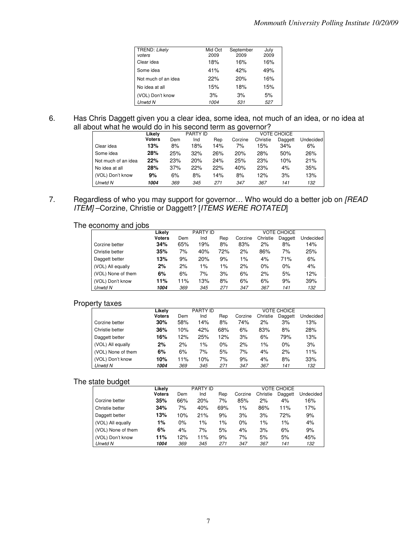| TREND: Likely<br>voters | Mid Oct<br>2009 | September<br>2009 | July<br>2009 |
|-------------------------|-----------------|-------------------|--------------|
| Clear idea              | 18%             | 16%               | 16%          |
| Some idea               | 41%             | 42%               | 49%          |
| Not much of an idea     | 22%             | 20%               | 16%          |
| No idea at all          | 15%             | 18%               | 15%          |
| (VOL) Don't know        | 3%              | 3%                | 5%           |
| <b>Unwtd N</b>          | 1004            | 531               | 527          |

### 6. Has Chris Daggett given you a clear idea, some idea, not much of an idea, or no idea at all about what he would do in his second term as governor?

|                     | Likelv        |     | <b>PARTY ID</b> |     | <b>VOTE CHOICE</b> |          |         |           |  |
|---------------------|---------------|-----|-----------------|-----|--------------------|----------|---------|-----------|--|
|                     | <b>Voters</b> | Dem | Ind             | Rep | Corzine            | Christie | Daggett | Undecided |  |
| Clear idea          | 13%           | 8%  | 18%             | 14% | 7%                 | 15%      | 34%     | 6%        |  |
| Some idea           | 28%           | 25% | 32%             | 26% | 20%                | 28%      | 50%     | 26%       |  |
| Not much of an idea | 22%           | 23% | 20%             | 24% | 25%                | 23%      | 10%     | 21%       |  |
| No idea at all      | 28%           | 37% | 22%             | 22% | 40%                | 23%      | 4%      | 35%       |  |
| (VOL) Don't know    | 9%            | 6%  | 8%              | 14% | 8%                 | 12%      | 3%      | 13%       |  |
| Unwtd N             | 1004          | 369 | 345             | 271 | 347                | 367      | 141     | 132       |  |

7. Regardless of who you may support for governor... Who would do a better job on [READ ITEMJ-Corzine, Christie or Daggett? [ITEMS WERE ROTATED]

The economy and jobs

|                    | Likely        |     | PARTY ID |       | <b>VOTE CHOICE</b> |          |         |           |  |
|--------------------|---------------|-----|----------|-------|--------------------|----------|---------|-----------|--|
|                    | <b>Voters</b> | Dem | Ind      | Rep   | Corzine            | Christie | Daggett | Undecided |  |
| Corzine better     | 34%           | 65% | 19%      | 8%    | 83%                | 2%       | 8%      | 14%       |  |
| Christie better    | 35%           | 7%  | 40%      | 72%   | 2%                 | 86%      | 7%      | 25%       |  |
| Daggett better     | 13%           | 9%  | 20%      | 9%    | $1\%$              | 4%       | 71%     | 6%        |  |
| (VOL) All equally  | 2%            | 2%  | 1%       | $1\%$ | 2%                 | 0%       | 0%      | 4%        |  |
| (VOL) None of them | 6%            | 6%  | 7%       | 3%    | 6%                 | 2%       | 5%      | 12%       |  |
| (VOL) Don't know   | 11%           | 11% | 13%      | 8%    | 6%                 | 6%       | 9%      | 39%       |  |
| Unwtd N            | 1004          | 369 | 345      | 271   | 347                | 367      | 141     | 132       |  |

# Property taxes

| . .                | Likelv        |     | <b>PARTY ID</b> |     | <b>VOTE CHOICE</b> |          |         |           |  |
|--------------------|---------------|-----|-----------------|-----|--------------------|----------|---------|-----------|--|
|                    | <b>Voters</b> | Dem | Ind             | Rep | Corzine            | Christie | Daggett | Undecided |  |
| Corzine better     | 30%           | 58% | 14%             | 8%  | 74%                | 2%       | 3%      | 13%       |  |
| Christie better    | 36%           | 10% | 42%             | 68% | 6%                 | 83%      | 8%      | 28%       |  |
| Daggett better     | 16%           | 12% | 25%             | 12% | 3%                 | 6%       | 79%     | 13%       |  |
| (VOL) All equally  | 2%            | 2%  | 1%              | 0%  | 2%                 | $1\%$    | 0%      | 3%        |  |
| (VOL) None of them | 6%            | 6%  | 7%              | 5%  | 7%                 | 4%       | 2%      | 11%       |  |
| (VOL) Don't know   | 10%           | 11% | 10%             | 7%  | 9%                 | 4%       | 8%      | 33%       |  |
| Unwtd N            | 1004          | 369 | 345             | 271 | 347                | 367      | 141     | 132       |  |

#### The state budget

|                    | Likelv | <b>PARTY ID</b> |     |       |         | <b>VOTE CHOICE</b> |         |           |  |
|--------------------|--------|-----------------|-----|-------|---------|--------------------|---------|-----------|--|
|                    | Voters | Dem             | Ind | Rep   | Corzine | Christie           | Daggett | Undecided |  |
| Corzine better     | 35%    | 66%             | 20% | 7%    | 85%     | 2%                 | 4%      | 16%       |  |
| Christie better    | 34%    | 7%              | 40% | 69%   | $1\%$   | 86%                | 11%     | 17%       |  |
| Daggett better     | 13%    | 10%             | 21% | 9%    | 3%      | 3%                 | 72%     | 9%        |  |
| (VOL) All equally  | 1%     | 0%              | 1%  | $1\%$ | 0%      | 1%                 | $1\%$   | 4%        |  |
| (VOL) None of them | 6%     | 4%              | 7%  | 5%    | 4%      | 3%                 | 6%      | 9%        |  |
| (VOL) Don't know   | 11%    | 12%             | 11% | 9%    | 7%      | 5%                 | 5%      | 45%       |  |
| Unwtd N            | 1004   | 369             | 345 | 271   | 347     | 367                | 141     | 132       |  |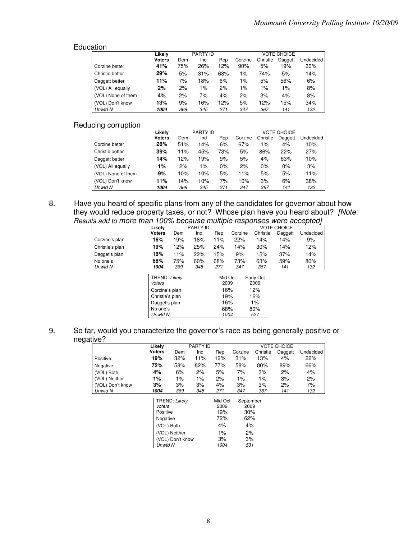#### Education

|                    | Likelv        |     | PARTY ID |     |         |          | <b>VOTE CHOICE</b> |           |
|--------------------|---------------|-----|----------|-----|---------|----------|--------------------|-----------|
|                    | <b>Voters</b> | Dem | Ind      | Rep | Corzine | Christie | Daggett            | Undecided |
| Corzine better     | 41%           | 75% | 26%      | 12% | 90%     | 5%       | 19%                | 30%       |
| Christie better    | 29%           | 5%  | 31%      | 63% | $1\%$   | 74%      | 5%                 | 14%       |
| Daggett better     | 11%           | 7%  | 18%      | 6%  | $1\%$   | 5%       | 56%                | 6%        |
| (VOL) All equally  | 2%            | 2%  | 1%       | 2%  | 1%      | 1%       | 1%                 | 8%        |
| (VOL) None of them | 4%            | 2%  | 7%       | 4%  | 2%      | 3%       | 4%                 | 8%        |
| (VOL) Don't know   | 13%           | 9%  | 16%      | 12% | 5%      | 12%      | 15%                | 34%       |
| Unwtd N            | 1004          | 369 | 345      | 271 | 347     | 367      | 141                | 132       |

# Reducing corruption

|                    | Likelv        | <b>PARTY ID</b> |       |       | <b>VOTE CHOICE</b> |          |         |           |  |
|--------------------|---------------|-----------------|-------|-------|--------------------|----------|---------|-----------|--|
|                    | <b>Voters</b> | Dem             | Ind   | Rep   | Corzine            | Christie | Daggett | Undecided |  |
| Corzine better     | 26%           | 51%             | 14%   | 6%    | 67%                | 1%       | 4%      | 10%       |  |
| Christie better    | 39%           | 11%             | 45%   | 73%   | 5%                 | 86%      | 22%     | 27%       |  |
| Daggett better     | 14%           | 12%             | 19%   | 9%    | 5%                 | 4%       | 63%     | 10%       |  |
| (VOL) All equally  | 1%            | 2%              | $1\%$ | $0\%$ | 2%                 | $0\%$    | $0\%$   | 3%        |  |
| (VOL) None of them | 9%            | 10%             | 10%   | 5%    | 11%                | 5%       | 5%      | 11%       |  |
| (VOL) Don't know   | 11%           | 14%             | 10%   | 7%    | 10%                | 3%       | 6%      | 38%       |  |
| Unwtd N            | 1004          | 369             | 345   | 271   | 347                | 367      | 141     | 132       |  |

8. Have you heard of specific plans from any of the candidates for governor about how they would reduce property taxes, or not? Whose plan have you heard about? [Note: Results add to more than 100% because multiple responses were accepted]

|                 | Likely                                                                        |     | PARTY ID |                                      |         |                                          | <b>VOTE CHOICE</b> |           |
|-----------------|-------------------------------------------------------------------------------|-----|----------|--------------------------------------|---------|------------------------------------------|--------------------|-----------|
|                 | <b>Voters</b>                                                                 | Dem | Ind      | Rep                                  | Corzine | Christie                                 | Daggett            | Undecided |
| Corzine's plan  | 16%                                                                           | 19% | 18%      | 11%                                  | 22%     | 14%                                      | 14%                | 9%        |
| Christie's plan | 19%                                                                           | 12% | 25%      | 24%                                  | 14%     | 30%                                      | 14%                | 12%       |
| Dagget's plan   | 16%                                                                           | 11% | 22%      | 15%                                  | 9%      | 15%                                      | 37%                | 14%       |
| No one's        | 68%                                                                           | 75% | 60%      | 68%                                  | 73%     | 63%                                      | 59%                | 80%       |
| Unwtd N         | 1004                                                                          | 369 | 345      | 271                                  | 347     | 367                                      | 141                | 132       |
|                 | TREND: Likely<br>voters<br>Corzine's plan<br>Christie's plan<br>Dagget's plan |     |          | Mid Oct<br>2009<br>16%<br>19%<br>16% |         | Early Oct<br>2009<br>12%<br>16%<br>$1\%$ |                    |           |
|                 | No one's                                                                      |     |          | 68%                                  |         | 80%                                      |                    |           |
|                 | Unwtd N                                                                       |     |          | 1004                                 |         | 527                                      |                    |           |

9. So far, would you characterize the governor's race as being generally positive or negative?

|                  | Likelv        |       | PARTY ID |     |         | <b>VOTE CHOICE</b> |         |           |  |  |
|------------------|---------------|-------|----------|-----|---------|--------------------|---------|-----------|--|--|
|                  | <b>Voters</b> | Dem   | Ind      | Rep | Corzine | Christie           | Daggett | Undecided |  |  |
| Positive         | 19%           | 32%   | 11%      | 12% | 31%     | 13%                | 4%      | 22%       |  |  |
| Negative         | 72%           | 58%   | 82%      | 77% | 58%     | 80%                | 89%     | 66%       |  |  |
| (VOL) Both       | 4%            | 6%    | 2%       | 5%  | 7%      | 3%                 | 2%      | 4%        |  |  |
| (VOL) Neither    | 1%            | $1\%$ | $1\%$    | 2%  | 1%      | $1\%$              | 3%      | 2%        |  |  |
| (VOL) Don't know | 3%            | 3%    | 3%       | 4%  | 3%      | 3%                 | 2%      | 7%        |  |  |
| Unwtd N          | 1004          | 369   | 345      | 271 | 347     | 367                | 141     | 132       |  |  |

| TREND: Likely    | Mid Oct | September |
|------------------|---------|-----------|
| voters           | 2009    | 2009      |
| Positive         | 19%     | 30%       |
| Negative         | 72%     | 62%       |
| (VOL) Both       | 4%      | 4%        |
| (VOL) Neither    | 1%      | 2%        |
| (VOL) Don't know | 3%      | 3%        |
| Unwtd N          | 1004    | 531       |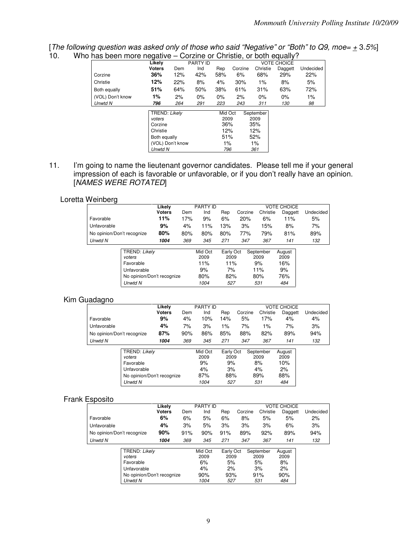[The following question was asked only of those who said "Negative" or "Both" to Q9, moe=  $\pm$  3.5%] 10. Who has been more negative – Corzine or Christie, or both equally?

| <b>IGO DUCTITIIOIU TIUGQUIVU</b> |                                                                                                      |     | <b>OUILING OF OHISTIC, OF DOIT COUQHY:</b> |                                                   |         |                                                     |                    |           |
|----------------------------------|------------------------------------------------------------------------------------------------------|-----|--------------------------------------------|---------------------------------------------------|---------|-----------------------------------------------------|--------------------|-----------|
|                                  | Likely                                                                                               |     | PARTY ID                                   |                                                   |         |                                                     | <b>VOTE CHOICE</b> |           |
|                                  | <b>Voters</b>                                                                                        | Dem | Ind                                        | Rep                                               | Corzine | Christie                                            | Daggett            | Undecided |
| Corzine                          | 36%                                                                                                  | 12% | 42%                                        | 58%                                               | 6%      | 68%                                                 | 29%                | 22%       |
| Christie                         | 12%                                                                                                  | 22% | 8%                                         | 4%                                                | 30%     | $1\%$                                               | 8%                 | 5%        |
| Both equally                     | 51%                                                                                                  | 64% | 50%                                        | 38%                                               | 61%     | 31%                                                 | 63%                | 72%       |
| (VOL) Don't know                 | 1%                                                                                                   | 2%  | 0%                                         | $0\%$                                             | 2%      | 0%                                                  | $0\%$              | 1%        |
| Unwtd N                          | 796                                                                                                  | 264 | 291                                        | 223                                               | 243     | 311                                                 | 130                | 98        |
|                                  | TREND: Likely<br>voters<br>Corzine<br>Christie<br>Both equally<br>(VOL) Don't know<br><b>Unwtd N</b> |     |                                            | Mid Oct<br>2009<br>36%<br>12%<br>51%<br>1%<br>796 |         | September<br>2009<br>35%<br>12%<br>52%<br>1%<br>361 |                    |           |

11. I'm going to name the lieutenant governor candidates. Please tell me if your general impression of each is favorable or unfavorable, or if you don't really have an opinion. [NAMES WERE ROTATED]

# Loretta Weinberg

| -7                         |                            |     |                 |           |         |           |                    |           |
|----------------------------|----------------------------|-----|-----------------|-----------|---------|-----------|--------------------|-----------|
|                            | Likelv                     |     | <b>PARTY ID</b> |           |         |           | <b>VOTE CHOICE</b> |           |
|                            | <b>Voters</b>              | Dem | Ind             | Rep       | Corzine | Christie  | Daggett            | Undecided |
| Favorable                  | 11%                        | 17% | 9%              | 6%        | 20%     | 6%        | 11%                | 5%        |
| Unfavorable                | 9%                         | 4%  | 11%             | 13%       | 3%      | 15%       | 8%                 | 7%        |
| No opinion/Don't recognize | 80%                        | 80% | 80%             | 80%       | 77%     | 79%       | 81%                | 89%       |
| Unwtd N                    | 1004                       | 369 | 345             | 271       | 347     | 367       | 141                | 132       |
|                            | TREND: Likely              |     | Mid Oct         | Early Oct |         | September | August             |           |
| voters                     |                            |     | 2009            | 2009      |         | 2009      | 2009               |           |
| Favorable                  |                            |     | 11%             | 11%       |         | 9%        | 16%                |           |
| Unfavorable                |                            |     | 9%              | 7%        |         | 11%       | 9%                 |           |
|                            | No opinion/Don't recognize |     | 80%             | 82%       |         | 80%       | 76%                |           |
| <b>Unwtd N</b>             |                            |     | 1004            | 527       |         | 531       | 484                |           |
|                            |                            |     |                 |           |         |           |                    |           |

#### Kim Guadagno

| ັ                          |                                                                                              |               |     |                                            |                                             |         |                                             |                                           |           |
|----------------------------|----------------------------------------------------------------------------------------------|---------------|-----|--------------------------------------------|---------------------------------------------|---------|---------------------------------------------|-------------------------------------------|-----------|
|                            |                                                                                              | Likely        |     | PARTY ID                                   |                                             |         |                                             | <b>VOTE CHOICE</b>                        |           |
|                            |                                                                                              | <b>Voters</b> | Dem | Ind                                        | Rep                                         | Corzine | Christie                                    | Daggett                                   | Undecided |
| Favorable                  |                                                                                              | 9%            | 4%  | 10%                                        | 14%                                         | 5%      | 17%                                         | 4%                                        | 4%        |
| Unfavorable                |                                                                                              | 4%            | 7%  | 3%                                         | 1%                                          | 7%      | $1\%$                                       | 7%                                        | 3%        |
| No opinion/Don't recognize |                                                                                              | 87%           | 90% | 86%                                        | 85%                                         | 88%     | 82%                                         | 89%                                       | 94%       |
| Unwtd N                    |                                                                                              | 1004          | 369 | 345                                        | 271                                         | 347     | 367                                         | 141                                       | 132       |
|                            | TREND: Likely<br>voters<br>Favorable<br>Unfavorable<br>No opinion/Don't recognize<br>Unwtd N |               |     | Mid Oct<br>2009<br>9%<br>4%<br>87%<br>1004 | Early Oct<br>2009<br>9%<br>3%<br>88%<br>527 |         | September<br>2009<br>8%<br>4%<br>89%<br>531 | August<br>2009<br>10%<br>2%<br>88%<br>484 |           |

#### Frank Esposito

|                            | Likely        |     | <b>PARTY ID</b> |           |         |           | <b>VOTE CHOICE</b> |           |
|----------------------------|---------------|-----|-----------------|-----------|---------|-----------|--------------------|-----------|
|                            | <b>Voters</b> | Dem | Ind             | Rep       | Corzine | Christie  | Daggett            | Undecided |
| Favorable                  | 6%            | 6%  | 5%              | 6%        | 8%      | 5%        | 5%                 | 2%        |
| Unfavorable                | 4%            | 3%  | 5%              | 3%        | 3%      | 3%        | 6%                 | 3%        |
| No opinion/Don't recognize | 90%           | 91% | 90%             | 91%       | 89%     | 92%       | 89%                | 94%       |
| Unwtd N                    | 1004          | 369 | 345             | 271       | 347     | 367       | 141                | 132       |
|                            |               |     |                 |           |         |           |                    |           |
| TREND: Likely              |               |     | Mid Oct         | Early Oct |         | September | August             |           |
| voters                     |               |     | 2009            | 2009      |         | 2009      | 2009               |           |
| Favorable                  |               |     | 6%              | 5%        |         | 5%        | 8%                 |           |
| Unfavorable                |               |     | 4%              | 2%        |         | 3%        | 2%                 |           |
| No opinion/Don't recognize |               |     | 90%             | 93%       |         | 91%       | 90%                |           |
| Unwtd N                    |               |     | 1004            | 527       |         | 531       | 484                |           |